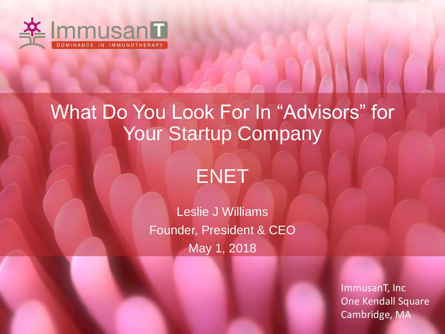

# What Do You Look For In "Advisors" for Your Startup Company



Leslie J Williams Founder, President & CEO May 1, 2018

> ImmusanT, Inc One Kendall Square Cambridge, MA

**AAAA**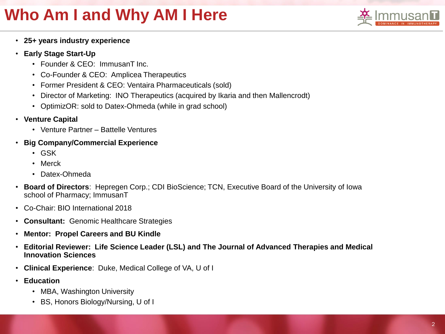## **Who Am I and Why AM I Here**



- **25+ years industry experience**
- **Early Stage Start-Up**
	- Founder & CEO: ImmusanT Inc.
	- Co-Founder & CEO: Amplicea Therapeutics
	- Former President & CEO: Ventaira Pharmaceuticals (sold)
	- Director of Marketing: INO Therapeutics (acquired by Ikaria and then Mallencrodt)
	- OptimizOR: sold to Datex-Ohmeda (while in grad school)
- **Venture Capital**
	- Venture Partner Battelle Ventures
- **Big Company/Commercial Experience**
	- GSK
	- Merck
	- Datex-Ohmeda
- **Board of Directors**: Hepregen Corp.; CDI BioScience; TCN, Executive Board of the University of Iowa school of Pharmacy; ImmusanT
- Co-Chair: BIO International 2018
- **Consultant:** Genomic Healthcare Strategies
- **Mentor: Propel Careers and BU Kindle**
- **Editorial Reviewer: Life Science Leader (LSL) and The Journal of Advanced Therapies and Medical Innovation Sciences**
- **Clinical Experience**: Duke, Medical College of VA, U of I
- **Education**
	- MBA, Washington University
	- BS, Honors Biology/Nursing, U of I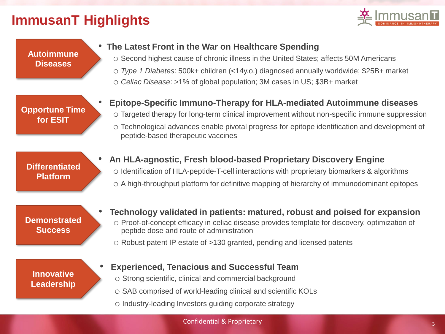#### **ImmusanT Highlights**



**Autoimmune Diseases**

#### • **The Latest Front in the War on Healthcare Spending**

- o Second highest cause of chronic illness in the United States; affects 50M Americans
- o *Type 1 Diabetes*: 500k+ children (<14y.o.) diagnosed annually worldwide; \$25B+ market
- o *Celiac Disease*: >1% of global population; 3M cases in US; \$3B+ market

**Opportune Time for ESIT**

- **Epitope-Specific Immuno-Therapy for HLA-mediated Autoimmune diseases**
	- o Targeted therapy for long-term clinical improvement without non-specific immune suppression
	- o Technological advances enable pivotal progress for epitope identification and development of peptide-based therapeutic vaccines

**Differentiated Platform**

• **An HLA-agnostic, Fresh blood-based Proprietary Discovery Engine**  o Identification of HLA-peptide-T-cell interactions with proprietary biomarkers & algorithms o A high-throughput platform for definitive mapping of hierarchy of immunodominant epitopes

**Demonstrated Success**

- **Technology validated in patients: matured, robust and poised for expansion** o Proof-of-concept efficacy in celiac disease provides template for discovery, optimization of peptide dose and route of administration
	- o Robust patent IP estate of >130 granted, pending and licensed patents

#### **Innovative Leadership**

- **Experienced, Tenacious and Successful Team**
	- o Strong scientific, clinical and commercial background
	- o SAB comprised of world-leading clinical and scientific KOLs
	- o Industry-leading Investors guiding corporate strategy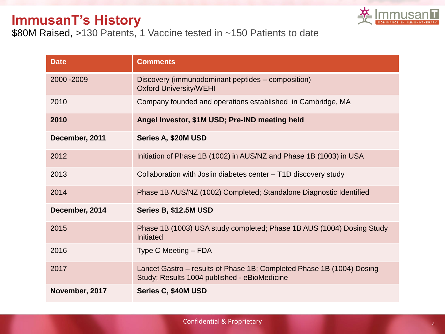#### **ImmusanT's History**



\$80M Raised, >130 Patents, 1 Vaccine tested in ~150 Patients to date

| <b>Date</b>    | <b>Comments</b>                                                                                                       |  |  |
|----------------|-----------------------------------------------------------------------------------------------------------------------|--|--|
| 2000 - 2009    | Discovery (immunodominant peptides – composition)<br><b>Oxford University/WEHI</b>                                    |  |  |
| 2010           | Company founded and operations established in Cambridge, MA                                                           |  |  |
| 2010           | Angel Investor, \$1M USD; Pre-IND meeting held                                                                        |  |  |
| December, 2011 | Series A, \$20M USD                                                                                                   |  |  |
| 2012           | Initiation of Phase 1B (1002) in AUS/NZ and Phase 1B (1003) in USA                                                    |  |  |
| 2013           | Collaboration with Joslin diabetes center - T1D discovery study                                                       |  |  |
| 2014           | Phase 1B AUS/NZ (1002) Completed; Standalone Diagnostic Identified                                                    |  |  |
| December, 2014 | Series B, \$12.5M USD                                                                                                 |  |  |
| 2015           | Phase 1B (1003) USA study completed; Phase 1B AUS (1004) Dosing Study<br>Initiated                                    |  |  |
| 2016           | Type C Meeting – FDA                                                                                                  |  |  |
| 2017           | Lancet Gastro – results of Phase 1B; Completed Phase 1B (1004) Dosing<br>Study; Results 1004 published - eBioMedicine |  |  |
| November, 2017 | Series C, \$40M USD                                                                                                   |  |  |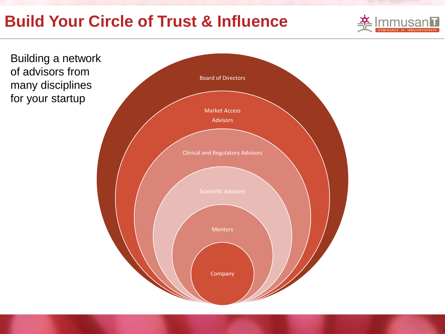## **Build Your Circle of Trust & Influence**



Board of Directors Market Access Advisors Clinical and Regulatory Advisors Mentors Company Building a network of advisors from many disciplines for your startup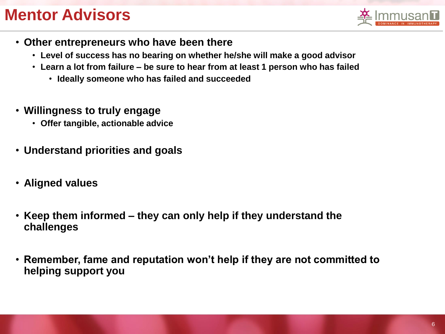### **Mentor Advisors**



- **Other entrepreneurs who have been there**
	- **Level of success has no bearing on whether he/she will make a good advisor**
	- **Learn a lot from failure – be sure to hear from at least 1 person who has failed**
		- **Ideally someone who has failed and succeeded**
- **Willingness to truly engage**
	- **Offer tangible, actionable advice**
- **Understand priorities and goals**
- **Aligned values**
- **Keep them informed – they can only help if they understand the challenges**
- **Remember, fame and reputation won't help if they are not committed to helping support you**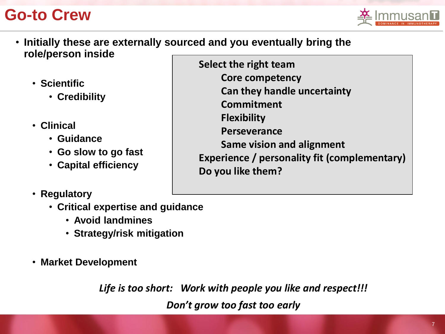### **Go-to Crew**



- **Initially these are externally sourced and you eventually bring the role/person inside**
	- **Scientific**
		- **Credibility**
	- **Clinical**
		- **Guidance**
		- **Go slow to go fast**
		- **Capital efficiency**
	- **Regulatory**
		- **Critical expertise and guidance**
			- **Avoid landmines**
			- **Strategy/risk mitigation**
	- **Market Development**

*Life is too short: Work with people you like and respect!!!*

*Don't grow too fast too early*

**Select the right team Core competency Can they handle uncertainty Commitment Flexibility Perseverance Same vision and alignment Experience / personality fit (complementary) Do you like them?**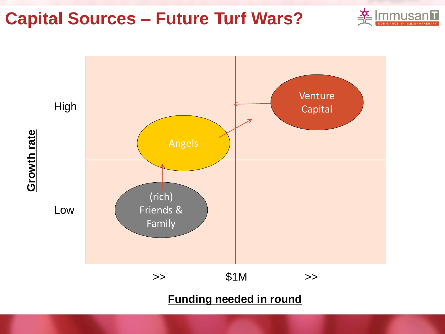**Capital Sources – Future Turf Wars?**



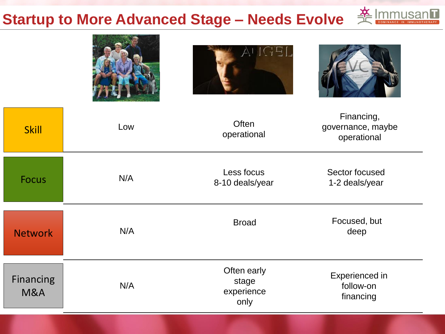# **Startup to More Advanced Stage – Needs Evolve**



| <b>Skill</b>                       | Low | Often<br>operational                       | Financing,<br>governance, maybe<br>operational |
|------------------------------------|-----|--------------------------------------------|------------------------------------------------|
| <b>Focus</b>                       | N/A | Less focus<br>8-10 deals/year              | Sector focused<br>1-2 deals/year               |
| <b>Network</b>                     | N/A | <b>Broad</b>                               | Focused, but<br>deep                           |
| <b>Financing</b><br><b>M&amp;A</b> | N/A | Often early<br>stage<br>experience<br>only | Experienced in<br>follow-on<br>financing       |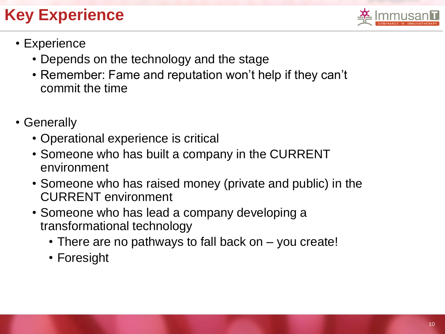## **Key Experience**



- Experience
	- Depends on the technology and the stage
	- Remember: Fame and reputation won't help if they can't commit the time
- Generally
	- Operational experience is critical
	- Someone who has built a company in the CURRENT environment
	- Someone who has raised money (private and public) in the CURRENT environment
	- Someone who has lead a company developing a transformational technology
		- There are no pathways to fall back on you create!
		- Foresight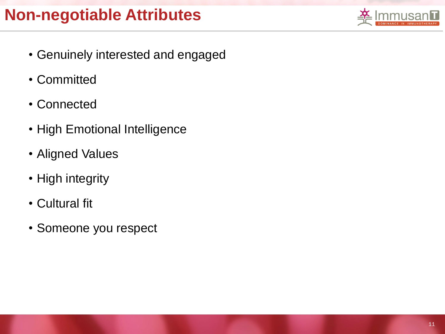

- Genuinely interested and engaged
- Committed
- Connected
- High Emotional Intelligence
- Aligned Values
- High integrity
- Cultural fit
- Someone you respect